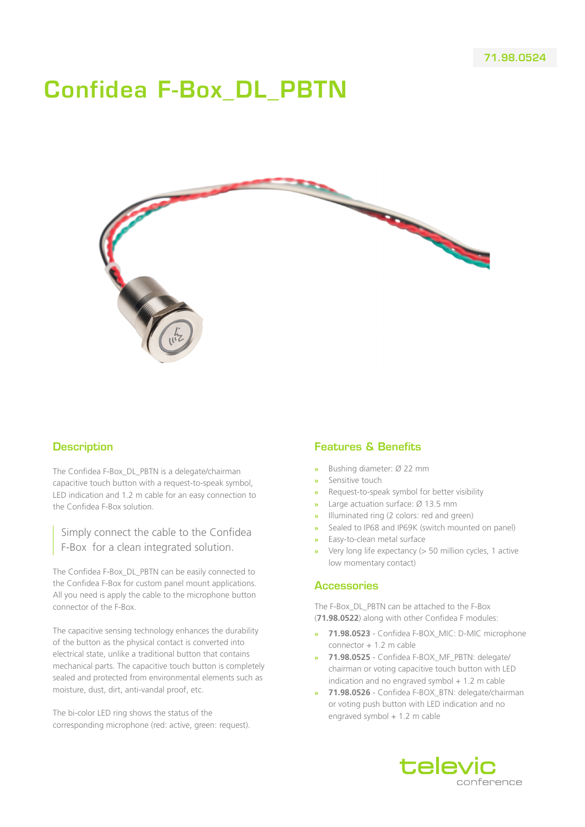# Confidea F-Box\_DL\_PBTN



### **Description**

The Confidea F-Box\_DL\_PBTN is a delegate/chairman capacitive touch button with a request-to-speak symbol, LED indication and 1.2 m cable for an easy connection to the Confidea F-Box solution.

Simply connect the cable to the Confidea F-Box for a clean integrated solution.

The Confidea F-Box\_DL\_PBTN can be easily connected to the Confidea F-Box for custom panel mount applications. All you need is apply the cable to the microphone button connector of the F-Box.

The capacitive sensing technology enhances the durability of the button as the physical contact is converted into electrical state, unlike a traditional button that contains mechanical parts. The capacitive touch button is completely sealed and protected from environmental elements such as moisture, dust, dirt, anti-vandal proof, etc.

The bi-color LED ring shows the status of the corresponding microphone (red: active, green: request).

## Features & Benefits

- **»** Bushing diameter: Ø 22 mm
- **»** Sensitive touch
- **»** Request-to-speak symbol for better visibility
- **»** Large actuation surface: Ø 13.5 mm
- **»** Illuminated ring (2 colors: red and green)
- **»** Sealed to IP68 and IP69K (switch mounted on panel)
- **»** Easy-to-clean metal surface
- **»** Very long life expectancy (> 50 million cycles, 1 active low momentary contact)

#### **Accessories**

The F-Box\_DL\_PBTN can be attached to the F-Box (**71.98.0522**) along with other Confidea F modules:

- **» 71.98.0523** Confidea F-BOX\_MIC: D-MIC microphone connector + 1.2 m cable
- **» 71.98.0525** Confidea F-BOX\_MF\_PBTN: delegate/ chairman or voting capacitive touch button with LED indication and no engraved symbol  $+1.2$  m cable
- **» 71.98.0526** Confidea F-BOX\_BTN: delegate/chairman or voting push button with LED indication and no engraved symbol + 1.2 m cable